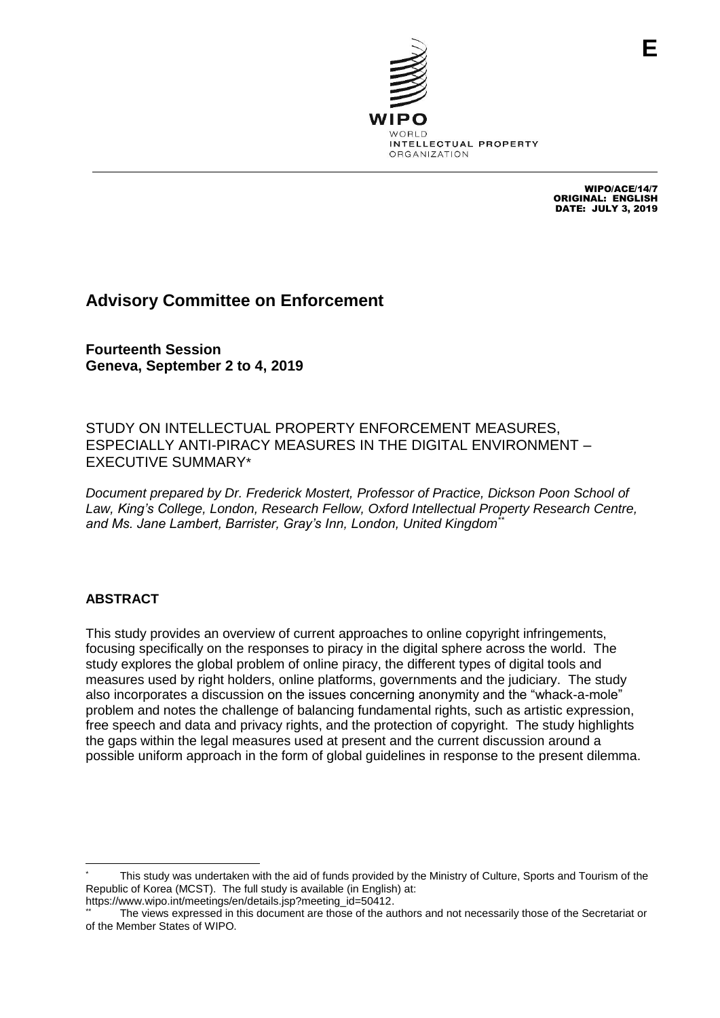

WIPO/ACE/14/7 ORIGINAL: ENGLISH DATE: JULY 3, 2019

# **Advisory Committee on Enforcement**

**Fourteenth Session Geneva, September 2 to 4, 2019**

STUDY ON INTELLECTUAL PROPERTY ENFORCEMENT MEASURES, ESPECIALLY ANTI-PIRACY MEASURES IN THE DIGITAL ENVIRONMENT – EXECUTIVE SUMMARY\*

*Document prepared by Dr. Frederick Mostert, Professor of Practice, Dickson Poon School of Law, King's College, London, Research Fellow, Oxford Intellectual Property Research Centre, and Ms. Jane Lambert, Barrister, Gray's Inn, London, United Kingdom\*\**

## **ABSTRACT**

 $\overline{a}$ 

This study provides an overview of current approaches to online copyright infringements, focusing specifically on the responses to piracy in the digital sphere across the world. The study explores the global problem of online piracy, the different types of digital tools and measures used by right holders, online platforms, governments and the judiciary. The study also incorporates a discussion on the issues concerning anonymity and the "whack-a-mole" problem and notes the challenge of balancing fundamental rights, such as artistic expression, free speech and data and privacy rights, and the protection of copyright. The study highlights the gaps within the legal measures used at present and the current discussion around a possible uniform approach in the form of global guidelines in response to the present dilemma.

This study was undertaken with the aid of funds provided by the Ministry of Culture, Sports and Tourism of the Republic of Korea (MCST). The full study is available (in English) at: [https://www.wipo.int/meetings/en/details.jsp?meeting\\_id=50412.](https://www.wipo.int/meetings/en/details.jsp?meeting_id=50412)

The views expressed in this document are those of the authors and not necessarily those of the Secretariat or of the Member States of WIPO.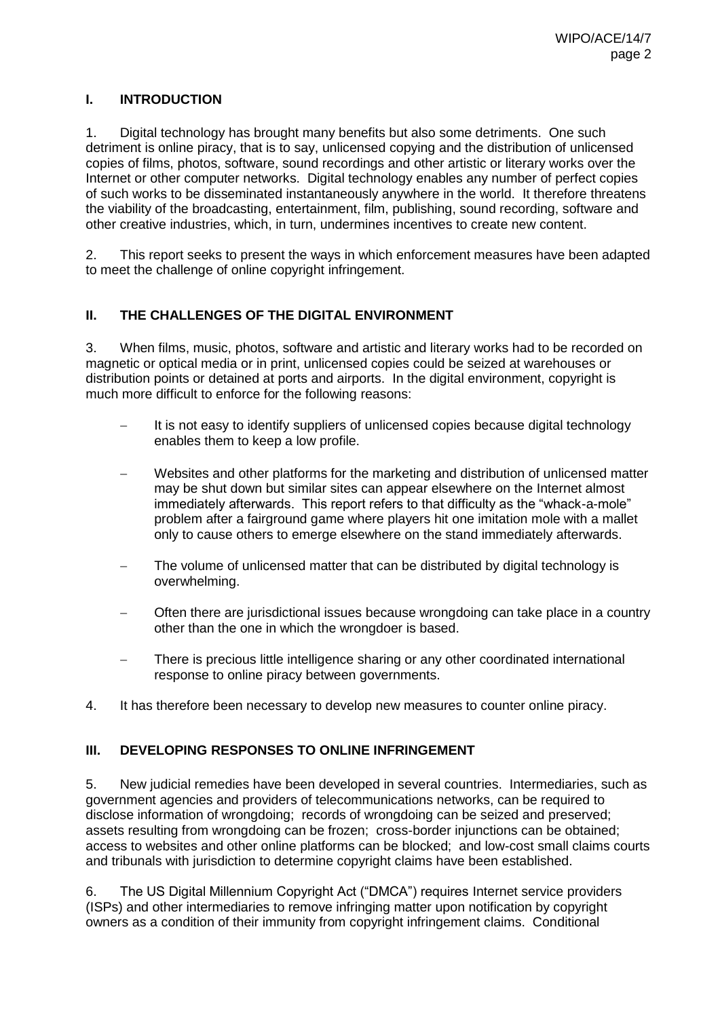### **I. INTRODUCTION**

1. Digital technology has brought many benefits but also some detriments. One such detriment is online piracy, that is to say, unlicensed copying and the distribution of unlicensed copies of films, photos, software, sound recordings and other artistic or literary works over the Internet or other computer networks. Digital technology enables any number of perfect copies of such works to be disseminated instantaneously anywhere in the world. It therefore threatens the viability of the broadcasting, entertainment, film, publishing, sound recording, software and other creative industries, which, in turn, undermines incentives to create new content.

2. This report seeks to present the ways in which enforcement measures have been adapted to meet the challenge of online copyright infringement.

#### **II. THE CHALLENGES OF THE DIGITAL ENVIRONMENT**

3. When films, music, photos, software and artistic and literary works had to be recorded on magnetic or optical media or in print, unlicensed copies could be seized at warehouses or distribution points or detained at ports and airports. In the digital environment, copyright is much more difficult to enforce for the following reasons:

- It is not easy to identify suppliers of unlicensed copies because digital technology enables them to keep a low profile.
- Websites and other platforms for the marketing and distribution of unlicensed matter may be shut down but similar sites can appear elsewhere on the Internet almost immediately afterwards. This report refers to that difficulty as the "whack-a-mole" problem after a fairground game where players hit one imitation mole with a mallet only to cause others to emerge elsewhere on the stand immediately afterwards.
- The volume of unlicensed matter that can be distributed by digital technology is overwhelming.
- Often there are jurisdictional issues because wrongdoing can take place in a country other than the one in which the wrongdoer is based.
- There is precious little intelligence sharing or any other coordinated international response to online piracy between governments.
- 4. It has therefore been necessary to develop new measures to counter online piracy.

#### **III. DEVELOPING RESPONSES TO ONLINE INFRINGEMENT**

5. New judicial remedies have been developed in several countries. Intermediaries, such as government agencies and providers of telecommunications networks, can be required to disclose information of wrongdoing; records of wrongdoing can be seized and preserved; assets resulting from wrongdoing can be frozen; cross-border injunctions can be obtained; access to websites and other online platforms can be blocked; and low-cost small claims courts and tribunals with jurisdiction to determine copyright claims have been established.

6. The US Digital Millennium Copyright Act ("DMCA") requires Internet service providers (ISPs) and other intermediaries to remove infringing matter upon notification by copyright owners as a condition of their immunity from copyright infringement claims. Conditional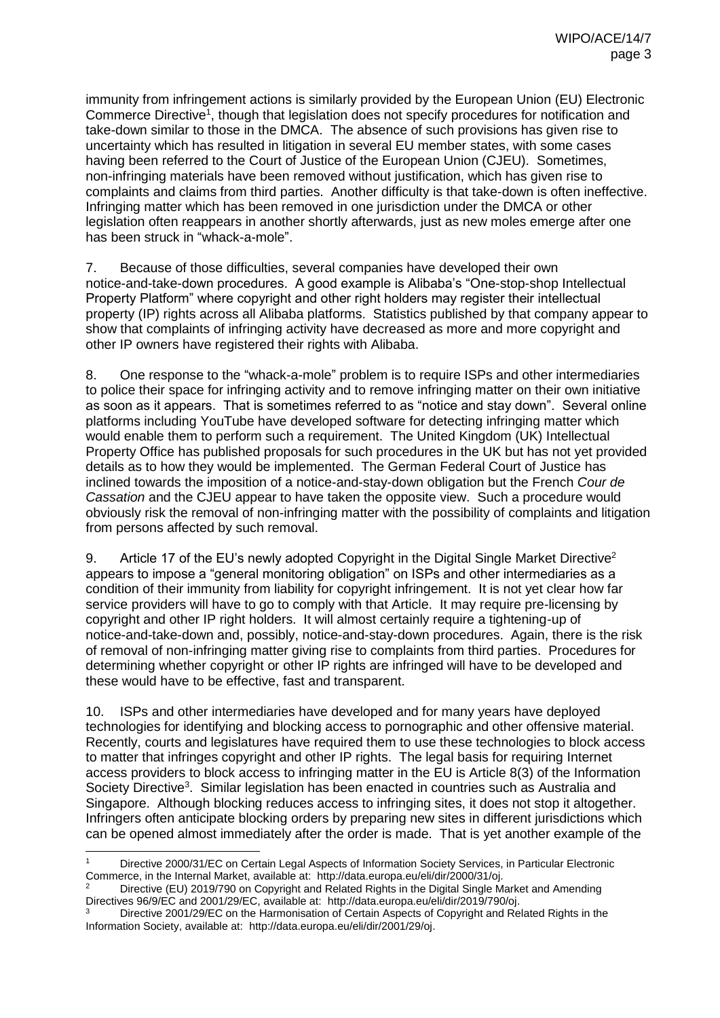immunity from infringement actions is similarly provided by the European Union (EU) Electronic Commerce Directive<sup>1</sup>, though that legislation does not specify procedures for notification and take-down similar to those in the DMCA. The absence of such provisions has given rise to uncertainty which has resulted in litigation in several EU member states, with some cases having been referred to the Court of Justice of the European Union (CJEU). Sometimes, non-infringing materials have been removed without justification, which has given rise to complaints and claims from third parties. Another difficulty is that take-down is often ineffective. Infringing matter which has been removed in one jurisdiction under the DMCA or other legislation often reappears in another shortly afterwards, just as new moles emerge after one has been struck in "whack-a-mole".

7. Because of those difficulties, several companies have developed their own notice-and-take-down procedures. A good example is Alibaba's "One-stop-shop Intellectual Property Platform" where copyright and other right holders may register their intellectual property (IP) rights across all Alibaba platforms. Statistics published by that company appear to show that complaints of infringing activity have decreased as more and more copyright and other IP owners have registered their rights with Alibaba.

8. One response to the "whack-a-mole" problem is to require ISPs and other intermediaries to police their space for infringing activity and to remove infringing matter on their own initiative as soon as it appears. That is sometimes referred to as "notice and stay down". Several online platforms including YouTube have developed software for detecting infringing matter which would enable them to perform such a requirement. The United Kingdom (UK) Intellectual Property Office has published proposals for such procedures in the UK but has not yet provided details as to how they would be implemented. The German Federal Court of Justice has inclined towards the imposition of a notice-and-stay-down obligation but the French *Cour de Cassation* and the CJEU appear to have taken the opposite view. Such a procedure would obviously risk the removal of non-infringing matter with the possibility of complaints and litigation from persons affected by such removal.

9. Article 17 of the EU's newly adopted Copyright in the Digital Single Market Directive<sup>2</sup> appears to impose a "general monitoring obligation" on ISPs and other intermediaries as a condition of their immunity from liability for copyright infringement. It is not yet clear how far service providers will have to go to comply with that Article. It may require pre-licensing by copyright and other IP right holders. It will almost certainly require a tightening-up of notice-and-take-down and, possibly, notice-and-stay-down procedures. Again, there is the risk of removal of non-infringing matter giving rise to complaints from third parties. Procedures for determining whether copyright or other IP rights are infringed will have to be developed and these would have to be effective, fast and transparent.

10. ISPs and other intermediaries have developed and for many years have deployed technologies for identifying and blocking access to pornographic and other offensive material. Recently, courts and legislatures have required them to use these technologies to block access to matter that infringes copyright and other IP rights. The legal basis for requiring Internet access providers to block access to infringing matter in the EU is Article 8(3) of the Information Society Directive<sup>3</sup>. Similar legislation has been enacted in countries such as Australia and Singapore. Although blocking reduces access to infringing sites, it does not stop it altogether. Infringers often anticipate blocking orders by preparing new sites in different jurisdictions which can be opened almost immediately after the order is made. That is yet another example of the

 Directive 2000/31/EC on Certain Legal Aspects of Information Society Services, in Particular Electronic Commerce, in the Internal Market, available at: http://data.europa.eu/eli/dir/2000/31/oj.

<sup>2</sup> Directive (EU) 2019/790 on Copyright and Related Rights in the Digital Single Market and Amending Directives 96/9/EC and 2001/29/EC, available at: [http://data.europa.eu/eli/dir/2019/790/oj.](http://data.europa.eu/eli/dir/2019/790/oj)

<sup>3</sup> Directive 2001/29/EC on the Harmonisation of Certain Aspects of Copyright and Related Rights in the Information Society, available at: [http://data.europa.eu/eli/dir/2001/29/oj.](http://data.europa.eu/eli/dir/2001/29/oj)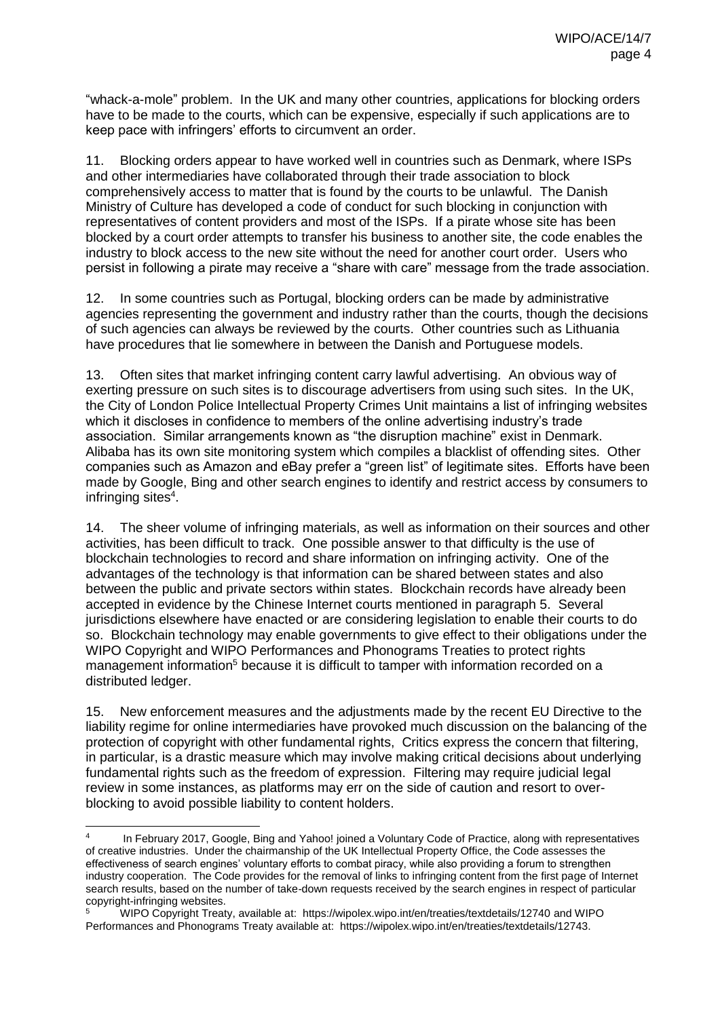"whack-a-mole" problem. In the UK and many other countries, applications for blocking orders have to be made to the courts, which can be expensive, especially if such applications are to keep pace with infringers' efforts to circumvent an order.

11. Blocking orders appear to have worked well in countries such as Denmark, where ISPs and other intermediaries have collaborated through their trade association to block comprehensively access to matter that is found by the courts to be unlawful. The Danish Ministry of Culture has developed a code of conduct for such blocking in conjunction with representatives of content providers and most of the ISPs. If a pirate whose site has been blocked by a court order attempts to transfer his business to another site, the code enables the industry to block access to the new site without the need for another court order. Users who persist in following a pirate may receive a "share with care" message from the trade association.

12. In some countries such as Portugal, blocking orders can be made by administrative agencies representing the government and industry rather than the courts, though the decisions of such agencies can always be reviewed by the courts. Other countries such as Lithuania have procedures that lie somewhere in between the Danish and Portuguese models.

13. Often sites that market infringing content carry lawful advertising. An obvious way of exerting pressure on such sites is to discourage advertisers from using such sites. In the UK, the City of London Police Intellectual Property Crimes Unit maintains a list of infringing websites which it discloses in confidence to members of the online advertising industry's trade association. Similar arrangements known as "the disruption machine" exist in Denmark. Alibaba has its own site monitoring system which compiles a blacklist of offending sites. Other companies such as Amazon and eBay prefer a "green list" of legitimate sites. Efforts have been made by Google, Bing and other search engines to identify and restrict access by consumers to infringing sites $^4$ .

14. The sheer volume of infringing materials, as well as information on their sources and other activities, has been difficult to track. One possible answer to that difficulty is the use of blockchain technologies to record and share information on infringing activity. One of the advantages of the technology is that information can be shared between states and also between the public and private sectors within states. Blockchain records have already been accepted in evidence by the Chinese Internet courts mentioned in paragraph 5. Several jurisdictions elsewhere have enacted or are considering legislation to enable their courts to do so. Blockchain technology may enable governments to give effect to their obligations under the WIPO Copyright and WIPO Performances and Phonograms Treaties to protect rights management information<sup>5</sup> because it is difficult to tamper with information recorded on a distributed ledger.

15. New enforcement measures and the adjustments made by the recent EU Directive to the liability regime for online intermediaries have provoked much discussion on the balancing of the protection of copyright with other fundamental rights, Critics express the concern that filtering, in particular, is a drastic measure which may involve making critical decisions about underlying fundamental rights such as the freedom of expression. Filtering may require judicial legal review in some instances, as platforms may err on the side of caution and resort to overblocking to avoid possible liability to content holders.

 $\frac{1}{4}$ In February 2017, Google, Bing and Yahoo! joined a Voluntary Code of Practice, along with representatives of creative industries. Under the chairmanship of the UK Intellectual Property Office, the Code assesses the effectiveness of search engines' voluntary efforts to combat piracy, while also providing a forum to strengthen industry cooperation. The Code provides for the removal of links to infringing content from the first page of Internet search results, based on the number of take-down requests received by the search engines in respect of particular copyright-infringing websites.

<sup>5</sup> WIPO Copyright Treaty, available at: <https://wipolex.wipo.int/en/treaties/textdetails/12740> and WIPO Performances and Phonograms Treaty available at: https://wipolex.wipo.int/en/treaties/textdetails/12743.